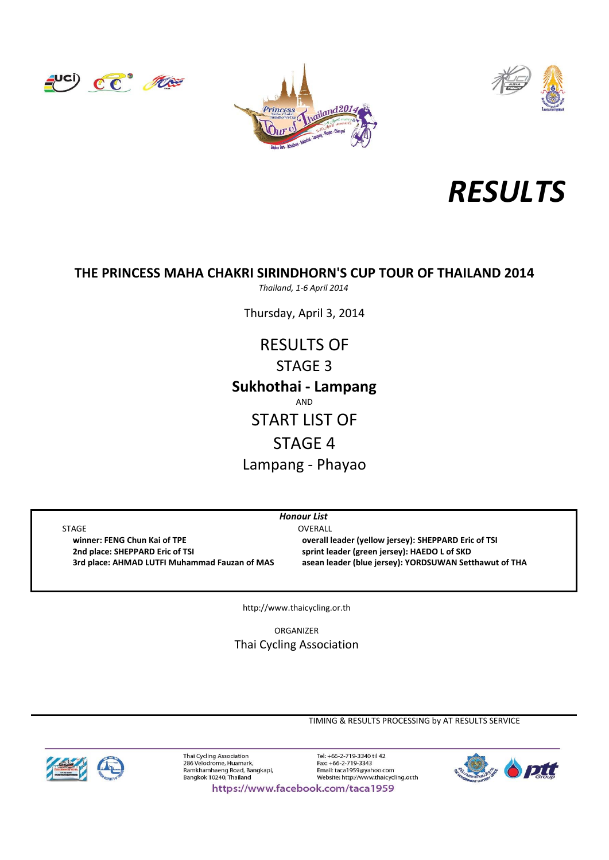







# **THE PRINCESS MAHA CHAKRI SIRINDHORN'S CUP TOUR OF THAILAND 2014**

*Thailand, 1‐6 April 2014*

Thursday, April 3, 2014

AND START LIST OF STAGE 4 Lampang ‐ Phayao **Sukhothai ‐ Lampang** RESULTS OF STAGE 3

*Honour List*

STAGE OVERALL  **2nd place: SHEPPARD Eric of TSI sprint leader (green jersey): HAEDO L of SKD**

 **winner: FENG Chun Kai of TPE overall leader (yellow jersey): SHEPPARD Eric of TSI 3rd place: AHMAD LUTFI Muhammad Fauzan of MAS asean leader (blue jersey): YORDSUWAN Setthawut of THA**

http://www.thaicycling.or.th

ORGANIZER Thai Cycling Association

TIMING & RESULTS PROCESSING by AT RESULTS SERVICE



Thai Cycling Association<br>286 Velodrome, Huamark, Ramkhamhaeng Road, Bangkapi,<br>Bangkok 10240, Thailand

Tel: +66-2-719-3340 til 42 Fax: +66-2-719-3343 Email: taca1959@yahoo.com<br>Website: http://www.thaicycling.or.th



https://www.facebook.com/taca1959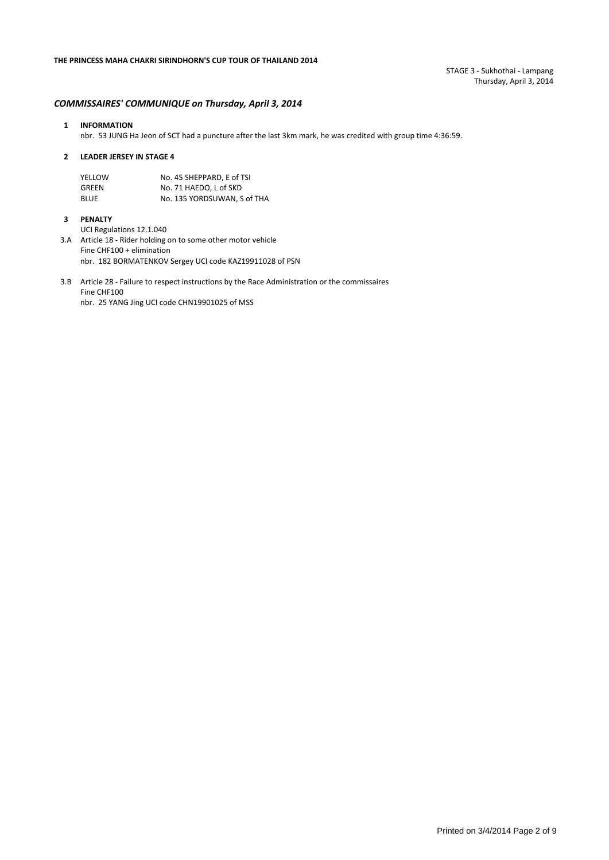STAGE 3 ‐ Sukhothai ‐ Lampang Thursday, April 3, 2014

## *COMMISSAIRES' COMMUNIQUE on Thursday, April 3, 2014*

#### **1 INFORMATION** nbr. 53 JUNG Ha Jeon of SCT had a puncture after the last 3km mark, he was credited with group time 4:36:59.

#### **2 LEADER JERSEY IN STAGE 4**

| YELLOW      | No. 45 SHEPPARD. E of TSI   |
|-------------|-----------------------------|
| GREEN       | No. 71 HAEDO. L of SKD      |
| <b>BLUE</b> | No. 135 YORDSUWAN, S of THA |

#### **3 PENALTY**

UCI Regulations 12.1.040 3.A Article 18 ‐ Rider holding on to some other motor vehicle Fine CHF100 + elimination nbr. 182 BORMATENKOV Sergey UCI code KAZ19911028 of PSN

#### 3.B Article 28 ‐ Failure to respect instructions by the Race Administration or the commissaires Fine CHF100 nbr. 25 YANG Jing UCI code CHN19901025 of MSS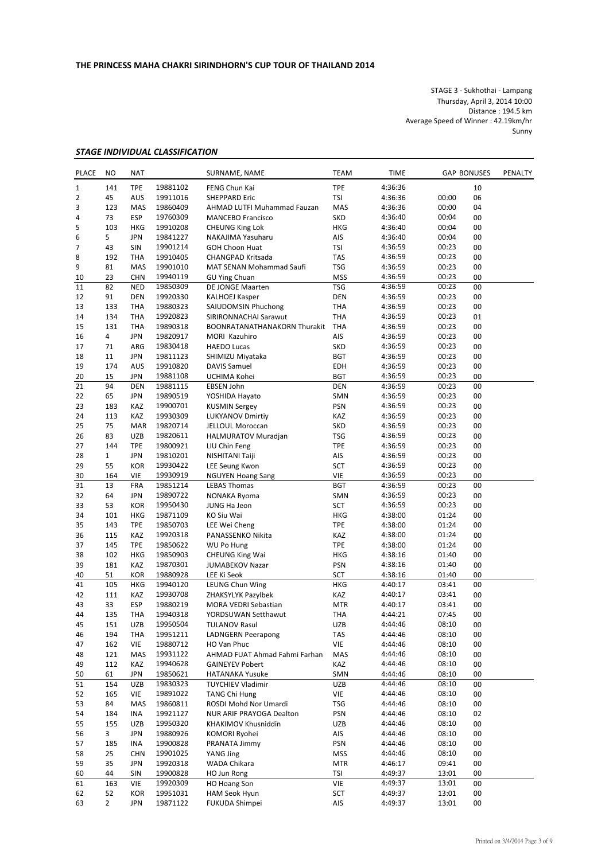STAGE 3 ‐ Sukhothai ‐ Lampang Thursday, April 3, 2014 10:00 Distance : 194.5 km Average Speed of Winner : 42.19km/hr Sunny

## *STAGE INDIVIDUAL CLASSIFICATION*

| <b>PLACE</b> | NO             | NAT               |                      | SURNAME, NAME                       | <b>TEAM</b> | <b>TIME</b>        |                | <b>GAP BONUSES</b> | PENALTY |
|--------------|----------------|-------------------|----------------------|-------------------------------------|-------------|--------------------|----------------|--------------------|---------|
| $\mathbf{1}$ | 141            | <b>TPE</b>        | 19881102             | FENG Chun Kai                       | <b>TPE</b>  | 4:36:36            |                | 10                 |         |
| 2            | 45             | AUS               | 19911016             | <b>SHEPPARD Eric</b>                | TSI         | 4:36:36            | 00:00          | 06                 |         |
| 3            | 123            | <b>MAS</b>        | 19860409             | AHMAD LUTFI Muhammad Fauzan         | MAS         | 4:36:36            | 00:00          | 04                 |         |
| 4            | 73             | <b>ESP</b>        | 19760309             | <b>MANCEBO Francisco</b>            | <b>SKD</b>  | 4:36:40            | 00:04          | 00                 |         |
| 5            | 103            | <b>HKG</b>        | 19910208             | <b>CHEUNG King Lok</b>              | <b>HKG</b>  | 4:36:40            | 00:04          | 00                 |         |
| 6            | 5              | <b>JPN</b>        | 19841227             | NAKAJIMA Yasuharu                   | AIS         | 4:36:40            | 00:04          | 00                 |         |
| 7            | 43             | SIN               | 19901214             | <b>GOH Choon Huat</b>               | TSI         | 4:36:59            | 00:23          | 00                 |         |
| 8            | 192            | <b>THA</b>        | 19910405             | CHANGPAD Kritsada                   | TAS         | 4:36:59            | 00:23          | 00                 |         |
| 9            | 81             | MAS               | 19901010             | MAT SENAN Mohammad Saufi            | <b>TSG</b>  | 4:36:59            | 00:23          | 00                 |         |
| 10           | 23             | <b>CHN</b>        | 19940119             | <b>GU Ying Chuan</b>                | <b>MSS</b>  | 4:36:59            | 00:23          | 00                 |         |
| 11           | 82             | <b>NED</b>        | 19850309             | DE JONGE Maarten                    | <b>TSG</b>  | 4:36:59            | 00:23          | 00                 |         |
| 12           | 91             | <b>DEN</b>        | 19920330             | <b>KALHOEJ Kasper</b>               | <b>DEN</b>  | 4:36:59            | 00:23          | 00                 |         |
| 13           | 133            | <b>THA</b>        | 19880323             | SAIUDOMSIN Phuchong                 | <b>THA</b>  | 4:36:59            | 00:23          | 00                 |         |
| 14           | 134            | THA               | 19920823             | SIRIRONNACHAI Sarawut               | THA         | 4:36:59            | 00:23          | 01                 |         |
| 15           | 131            | <b>THA</b>        | 19890318             | <b>BOONRATANATHANAKORN Thurakit</b> | <b>THA</b>  | 4:36:59            | 00:23          | 00                 |         |
| 16           | 4              | <b>JPN</b>        | 19820917             | MORI Kazuhiro                       | AIS         | 4:36:59            | 00:23          | 00                 |         |
| 17           | 71             | ARG               | 19830418             | <b>HAEDO Lucas</b>                  | <b>SKD</b>  | 4:36:59            | 00:23          | 00                 |         |
| 18           | 11             | <b>JPN</b>        | 19811123             | SHIMIZU Miyataka                    | BGT         | 4:36:59            | 00:23          | 00                 |         |
| 19           | 174            | AUS               | 19910820             | <b>DAVIS Samuel</b>                 | <b>EDH</b>  | 4:36:59            | 00:23          | 00                 |         |
| 20           | 15             | <b>JPN</b>        | 19881108             | UCHIMA Kohei                        | <b>BGT</b>  | 4:36:59            | 00:23          | 00                 |         |
| 21           | 94             | <b>DEN</b>        | 19881115             | EBSEN John                          | <b>DEN</b>  | 4:36:59            | 00:23          | 00                 |         |
| 22           | 65             | JPN               | 19890519             | YOSHIDA Hayato                      | SMN         | 4:36:59            | 00:23          | 00                 |         |
| 23           | 183            | KAZ               | 19900701             | <b>KUSMIN Sergey</b>                | PSN         | 4:36:59            | 00:23          | 00                 |         |
| 24           | 113            | KAZ               | 19930309             | <b>LUKYANOV Dmirtiy</b>             | KAZ         | 4:36:59            | 00:23          | 00                 |         |
| 25           | 75             | <b>MAR</b>        | 19820714             | JELLOUL Moroccan                    | <b>SKD</b>  | 4:36:59            | 00:23          | 00                 |         |
| 26           | 83             | <b>UZB</b>        | 19820611             | <b>HALMURATOV Muradjan</b>          | <b>TSG</b>  | 4:36:59            | 00:23          | 00                 |         |
| 27           | 144            | <b>TPE</b>        | 19800921             | LIU Chin Feng                       | TPE         | 4:36:59            | 00:23          | 00                 |         |
| 28           | $\mathbf{1}$   | <b>JPN</b>        | 19810201             | NISHITANI Taiji                     | AIS         | 4:36:59            | 00:23          | 00                 |         |
| 29           | 55             | <b>KOR</b>        | 19930422             | LEE Seung Kwon                      | SCT         | 4:36:59            | 00:23          | 00                 |         |
| 30           | 164            | VIE               | 19930919             | <b>NGUYEN Hoang Sang</b>            | <b>VIE</b>  | 4:36:59            | 00:23          | 00                 |         |
| 31           | 13             | <b>FRA</b>        | 19851214             | <b>LEBAS Thomas</b>                 | <b>BGT</b>  | 4:36:59            | 00:23          | 00                 |         |
| 32           | 64             | <b>JPN</b>        | 19890722             | NONAKA Ryoma                        | SMN         | 4:36:59            | 00:23          | 00                 |         |
| 33           | 53             | <b>KOR</b>        | 19950430             | JUNG Ha Jeon                        | SCT         | 4:36:59            | 00:23          | 00                 |         |
| 34           | 101            | <b>HKG</b>        | 19871109             | KO Siu Wai                          | <b>HKG</b>  | 4:38:00            | 01:24          | 00                 |         |
| 35           | 143            | TPE               | 19850703             | LEE Wei Cheng                       | TPE         | 4:38:00            | 01:24          | 00                 |         |
| 36           | 115            | KAZ               | 19920318             | PANASSENKO Nikita                   | KAZ         | 4:38:00            | 01:24          | 00                 |         |
| 37           | 145            | <b>TPE</b>        | 19850622             | WU Po Hung                          | <b>TPE</b>  | 4:38:00            | 01:24          | 00                 |         |
| 38           | 102            | <b>HKG</b>        | 19850903             | CHEUNG King Wai                     | <b>HKG</b>  | 4:38:16            | 01:40          | 00                 |         |
| 39           | 181            | KAZ               | 19870301             | JUMABEKOV Nazar                     | PSN         | 4:38:16            | 01:40          | 00                 |         |
| 40           | 51             | <b>KOR</b>        | 19880928             | LEE Ki Seok                         | SCT         | 4:38:16            | 01:40          | 00                 |         |
| 41           | 105            | <b>HKG</b>        | 19940120             | <b>LEUNG Chun Wing</b>              | <b>HKG</b>  | 4:40:17            | 03:41          | 00                 |         |
| 42           | 111            | KAZ               | 19930708             | ZHAKSYLYK Pazylbek                  | KAZ         | 4:40:17            | 03:41          | 00                 |         |
| 43           | 33             | ESP               | 19880219             | <b>MORA VEDRI Sebastian</b>         | <b>MTR</b>  | 4:40:17            | 03:41          | 00                 |         |
| 44           | 135            | <b>THA</b>        | 19940318             | YORDSUWAN Setthawut                 | <b>THA</b>  | 4:44:21            | 07:45          | 00                 |         |
| 45           | 151            | UZB               | 19950504             | <b>TULANOV Rasul</b>                | UZB         | 4:44:46            | 08:10          | 00                 |         |
| 46           | 194            | THA               | 19951211             | <b>LADNGERN Peerapong</b>           | TAS         | 4:44:46            | 08:10          | 00                 |         |
| 47           | 162            | VIE               | 19880712             | HO Van Phuc                         | VIE         | 4:44:46            | 08:10          | 00                 |         |
| 48           | 121            | MAS               | 19931122             | AHMAD FUAT Ahmad Fahmi Farhan       | MAS         | 4:44:46            | 08:10          | 00                 |         |
| 49           | 112            | KAZ               | 19940628             | <b>GAINEYEV Pobert</b>              | KAZ         | 4:44:46            | 08:10          | 00                 |         |
| 50           | 61             | JPN               | 19850621             | <b>HATANAKA Yusuke</b>              | SMN         | 4:44:46            | 08:10          | 00                 |         |
| 51           | 154            | UZB               | 19830323<br>19891022 | <b>TUYCHIEV Vladimir</b>            | UZB         | 4:44:46            | 08:10          | 00                 |         |
| 52           | 165            | VIE               | 19860811             | <b>TANG Chi Hung</b>                | VIE         | 4:44:46            | 08:10<br>08:10 | 00                 |         |
| 53           | 84             | MAS<br>INA        | 19921127             | ROSDI Mohd Nor Umardi               | <b>TSG</b>  | 4:44:46<br>4:44:46 | 08:10          | 00                 |         |
| 54           | 184            |                   |                      | NUR ARIF PRAYOGA Dealton            | PSN         | 4:44:46            | 08:10          | 02                 |         |
| 55<br>56     | 155<br>3       | <b>UZB</b><br>JPN | 19950320<br>19880926 | KHAKIMOV Khusniddin                 | UZB<br>AIS  | 4:44:46            | 08:10          | 00<br>00           |         |
| 57           | 185            |                   | 19900828             | KOMORI Ryohei<br>PRANATA Jimmy      | PSN         |                    | 08:10          | 00                 |         |
| 58           | 25             | INA<br><b>CHN</b> | 19901025             | YANG Jing                           | <b>MSS</b>  | 4:44:46<br>4:44:46 | 08:10          | 00                 |         |
| 59           | 35             | <b>JPN</b>        | 19920318             | WADA Chikara                        | <b>MTR</b>  | 4:46:17            | 09:41          | 00                 |         |
| 60           | 44             | SIN               | 19900828             | HO Jun Rong                         | <b>TSI</b>  | 4:49:37            | 13:01          | 00                 |         |
| 61           | 163            | VIE               | 19920309             | HO Hoang Son                        | VIE         | 4:49:37            | 13:01          | 00                 |         |
| 62           | 52             | <b>KOR</b>        | 19951031             | <b>HAM Seok Hyun</b>                | SCT         | 4:49:37            | 13:01          | 00                 |         |
| 63           | $\overline{2}$ | <b>JPN</b>        | 19871122             | <b>FUKUDA Shimpei</b>               | AIS         | 4:49:37            | 13:01          | 00                 |         |
|              |                |                   |                      |                                     |             |                    |                |                    |         |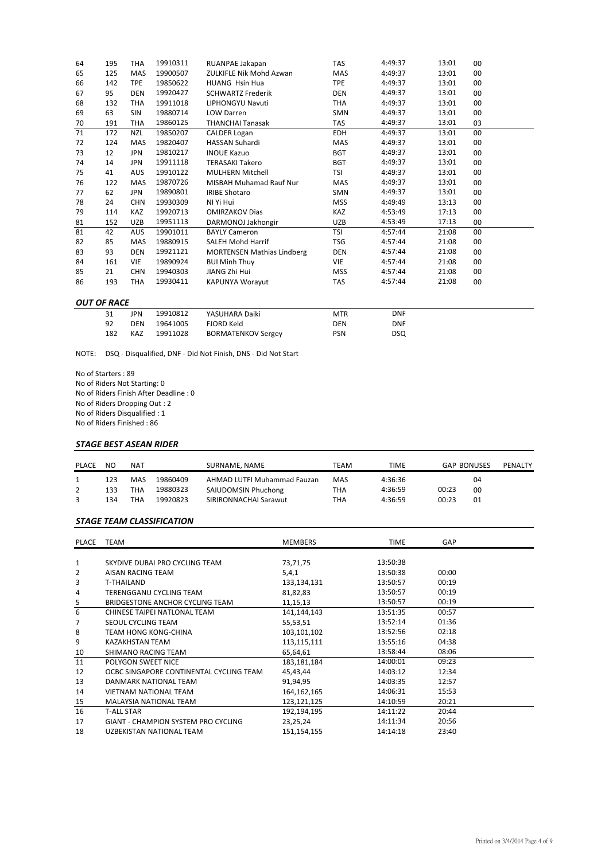## *OUT OF RACE*

| שהמו וט |            |          |                           |            |     |  |
|---------|------------|----------|---------------------------|------------|-----|--|
| 31      | JPN        | 19910812 | YASUHARA Daiki            | MTR        | DNF |  |
| 92      | <b>DEN</b> | 19641005 | <b>FJORD Keld</b>         | DEN        | DNF |  |
| 182     | <b>KAZ</b> | 19911028 | <b>BORMATENKOV Sergey</b> | <b>PSN</b> | DSQ |  |

NOTE: DSQ ‐ Disqualified, DNF ‐ Did Not Finish, DNS ‐ Did Not Start

No of Starters : 89 No of Riders Not Starting: 0 No of Riders Finish After Deadline : 0 No of Riders Dropping Out : 2 No of Riders Disqualified : 1 No of Riders Finished : 86

#### *STAGE BEST ASEAN RIDER*

| <b>PLACE</b> | NO  | NAT |          | SURNAME, NAME               | TEAM | TIME    | <b>GAP BONUSES</b> |    | PENALTY |
|--------------|-----|-----|----------|-----------------------------|------|---------|--------------------|----|---------|
|              | 123 | MAS | 19860409 | AHMAD LUTFI Muhammad Fauzan | MAS  | 4:36:36 |                    | 04 |         |
|              | 133 | THA | 19880323 | SAIUDOMSIN Phuchong         | THA  | 4:36:59 | 00:23              | 00 |         |
|              | 134 | ТНА | 19920823 | SIRIRONNACHAI Sarawut       | THA  | 4:36:59 | 00:23              | 01 |         |
|              |     |     |          |                             |      |         |                    |    |         |

## *STAGE TEAM CLASSIFICATION*

| PLACE | <b>TEAM</b>                             | <b>MEMBERS</b> | <b>TIME</b> | GAP   |  |
|-------|-----------------------------------------|----------------|-------------|-------|--|
|       |                                         |                |             |       |  |
| 1     | SKYDIVE DUBAI PRO CYCLING TEAM          | 73,71,75       | 13:50:38    |       |  |
| 2     | AISAN RACING TEAM                       | 5,4,1          | 13:50:38    | 00:00 |  |
| 3     | <b>T-THAILAND</b>                       | 133,134,131    | 13:50:57    | 00:19 |  |
| 4     | <b>TERENGGANU CYCLING TEAM</b>          | 81,82,83       | 13:50:57    | 00:19 |  |
| 5     | BRIDGESTONE ANCHOR CYCLING TEAM         | 11,15,13       | 13:50:57    | 00:19 |  |
| 6     | CHINESE TAIPEI NATLONAL TEAM            | 141,144,143    | 13:51:35    | 00:57 |  |
| 7     | SEOUL CYCLING TEAM                      | 55,53,51       | 13:52:14    | 01:36 |  |
| 8     | TEAM HONG KONG-CHINA                    | 103,101,102    | 13:52:56    | 02:18 |  |
| 9     | KAZAKHSTAN TEAM                         | 113,115,111    | 13:55:16    | 04:38 |  |
| 10    | SHIMANO RACING TEAM                     | 65,64,61       | 13:58:44    | 08:06 |  |
| 11    | POLYGON SWEET NICE                      | 183,181,184    | 14:00:01    | 09:23 |  |
| 12    | OCBC SINGAPORE CONTINENTAL CYCLING TEAM | 45,43,44       | 14:03:12    | 12:34 |  |
| 13    | DANMARK NATIONAL TEAM                   | 91,94,95       | 14:03:35    | 12:57 |  |
| 14    | <b>VIETNAM NATIONAL TEAM</b>            | 164, 162, 165  | 14:06:31    | 15:53 |  |
| 15    | <b>MALAYSIA NATIONAL TEAM</b>           | 123,121,125    | 14:10:59    | 20:21 |  |
| 16    | <b>T-ALL STAR</b>                       | 192,194,195    | 14:11:22    | 20:44 |  |
| 17    | GIANT - CHAMPION SYSTEM PRO CYCLING     | 23,25,24       | 14:11:34    | 20:56 |  |
| 18    | UZBEKISTAN NATIONAL TEAM                | 151,154,155    | 14:14:18    | 23:40 |  |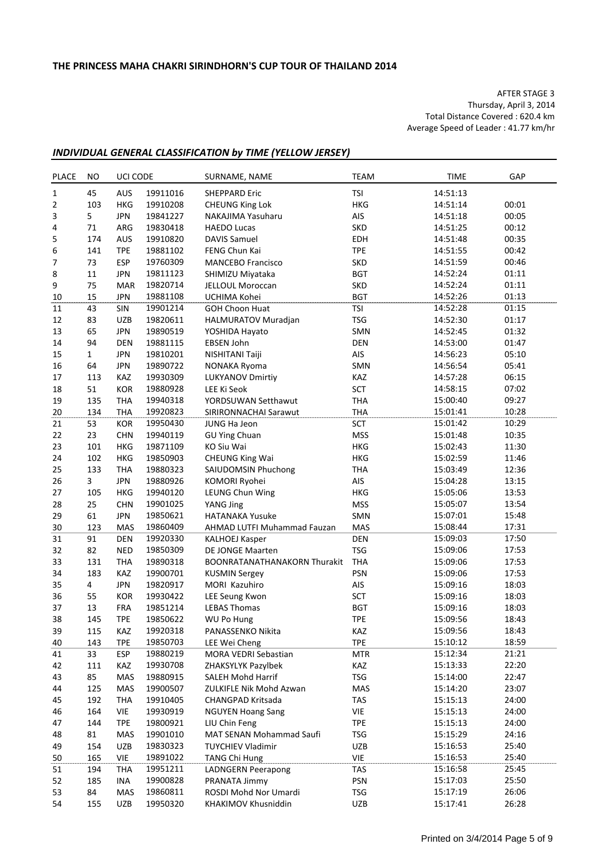## **THE PRINCESS MAHA CHAKRI SIRINDHORN'S CUP TOUR OF THAILAND 2014**

AFTER STAGE 3 Thursday, April 3, 2014 Total Distance Covered : 620.4 km Average Speed of Leader : 41.77 km/hr

## *INDIVIDUAL GENERAL CLASSIFICATION by TIME (YELLOW JERSEY)*

| <b>TSI</b><br>14:51:13<br>$\mathbf{1}$<br>45<br>AUS<br>19911016<br><b>SHEPPARD Eric</b><br>00:01<br>19910208<br>14:51:14<br>2<br>103<br><b>HKG</b><br>CHEUNG King Lok<br><b>HKG</b><br>5<br>19841227<br>AIS<br>00:05<br>3<br><b>JPN</b><br>NAKAJIMA Yasuharu<br>14:51:18<br>19830418<br><b>SKD</b><br>14:51:25<br>00:12<br>71<br>ARG<br>4<br><b>HAEDO Lucas</b><br>5<br>174<br>AUS<br>19910820<br><b>DAVIS Samuel</b><br><b>EDH</b><br>14:51:48<br>00:35<br><b>TPE</b><br>6<br><b>TPE</b><br>19881102<br>FENG Chun Kai<br>00:42<br>141<br>14:51:55<br>7<br>73<br><b>ESP</b><br>19760309<br><b>MANCEBO Francisco</b><br><b>SKD</b><br>00:46<br>14:51:59<br>8<br><b>BGT</b><br>11<br><b>JPN</b><br>01:11<br>19811123<br>SHIMIZU Miyataka<br>14:52:24<br>9<br>75<br><b>MAR</b><br>19820714<br><b>SKD</b><br>14:52:24<br>01:11<br>JELLOUL Moroccan<br>01:13<br>15<br><b>JPN</b><br>19881108<br><b>BGT</b><br>14:52:26<br>10<br>UCHIMA Kohei<br>19901214<br><b>TSI</b><br>14:52:28<br>01:15<br>11<br>43<br>SIN<br><b>GOH Choon Huat</b><br>19820611<br><b>TSG</b><br>14:52:30<br>01:17<br>12<br>83<br><b>UZB</b><br>HALMURATOV Muradjan<br>65<br>19890519<br>14:52:45<br>01:32<br>13<br><b>JPN</b><br>SMN<br>YOSHIDA Hayato<br>01:47<br>14<br>94<br>19881115<br><b>EBSEN John</b><br>DEN<br>14:53:00<br>DEN<br>19810201<br>AIS<br>14:56:23<br>05:10<br>15<br>$\mathbf{1}$<br><b>JPN</b><br>NISHITANI Taiji<br>19890722<br>05:41<br>16<br>64<br><b>JPN</b><br>SMN<br>14:56:54<br>NONAKA Ryoma<br>17<br>113<br>KAZ<br>19930309<br><b>LUKYANOV Dmirtiy</b><br>KAZ<br>14:57:28<br>06:15<br><b>SCT</b><br>51<br>KOR<br>19880928<br>LEE Ki Seok<br>14:58:15<br>07:02<br>18<br>09:27<br>19<br>135<br>THA<br>19940318<br>YORDSUWAN Setthawut<br><b>THA</b><br>15:00:40<br>20<br><b>THA</b><br>19920823<br><b>THA</b><br>15:01:41<br>10:28<br>134<br>SIRIRONNACHAI Sarawut<br><b>SCT</b><br>21<br>19950430<br>15:01:42<br>10:29<br>53<br>KOR<br>JUNG Ha Jeon<br>10:35<br>22<br>23<br><b>CHN</b><br>19940119<br><b>MSS</b><br>15:01:48<br><b>GU Ying Chuan</b><br><b>HKG</b><br>11:30<br>23<br>101<br>HKG<br>19871109<br>KO Siu Wai<br>15:02:43<br>24<br>102<br>HKG<br>19850903<br><b>CHEUNG King Wai</b><br>HKG<br>15:02:59<br>11:46<br>19880323<br>12:36<br>25<br>133<br><b>THA</b><br>SAIUDOMSIN Phuchong<br>THA<br>15:03:49<br>3<br>26<br><b>JPN</b><br>19880926<br>KOMORI Ryohei<br>AIS<br>15:04:28<br>13:15<br>27<br>105<br>19940120<br>LEUNG Chun Wing<br>HKG<br>15:05:06<br>13:53<br>HKG<br>28<br>25<br><b>CHN</b><br>19901025<br><b>MSS</b><br>13:54<br>YANG Jing<br>15:05:07<br>29<br>61<br><b>JPN</b><br>19850621<br>SMN<br>15:07:01<br>15:48<br><b>HATANAKA Yusuke</b><br>30<br>MAS<br>17:31<br>123<br>MAS<br>19860409<br>AHMAD LUTFI Muhammad Fauzan<br>15:08:44<br>DEN<br>31<br>91<br>17:50<br><b>DEN</b><br>19920330<br><b>KALHOEJ Kasper</b><br>15:09:03<br>19850309<br><b>TSG</b><br>32<br>82<br><b>NED</b><br>15:09:06<br>17:53<br>DE JONGE Maarten<br>33<br>131<br><b>THA</b><br>19890318<br><b>THA</b><br>15:09:06<br>17:53<br><b>BOONRATANATHANAKORN Thurakit</b><br>KAZ<br>19900701<br>17:53<br>34<br>183<br>PSN<br>15:09:06<br><b>KUSMIN Sergey</b><br>18:03<br>35<br>4<br><b>JPN</b><br>19820917<br>MORI Kazuhiro<br>AIS<br>15:09:16<br>19930422<br>18:03<br>36<br>55<br><b>KOR</b><br>SCT<br>15:09:16<br>LEE Seung Kwon<br>37<br>13<br>19851214<br><b>BGT</b><br>15:09:16<br>18:03<br><b>FRA</b><br><b>LEBAS Thomas</b><br><b>TPE</b><br><b>TPE</b><br>38<br>145<br>19850622<br>15:09:56<br>18:43<br><b>WU Po Hung</b><br>KAZ<br>39<br>115<br>KAZ<br>19920318<br>PANASSENKO Nikita<br>15:09:56<br>18:43<br><b>TPE</b><br><b>TPE</b><br>19850703<br>15:10:12<br>18:59<br>40<br>143<br>LEE Wei Cheng<br>41<br>33<br><b>ESP</b><br>19880219<br>MORA VEDRI Sebastian<br><b>MTR</b><br>21:21<br>15:12:34<br>42<br>111<br>KAZ<br>19930708<br>KAZ<br>15:13:33<br>22:20<br>ZHAKSYLYK Pazylbek<br><b>TSG</b><br>43<br>85<br>MAS<br>19880915<br>SALEH Mohd Harrif<br>15:14:00<br>22:47<br>23:07<br>125<br>19900507<br>ZULKIFLE Nik Mohd Azwan<br>MAS<br>15:14:20<br>44<br>MAS<br>24:00<br>45<br>192<br>19910405<br><b>TAS</b><br>15:15:13<br><b>THA</b><br>CHANGPAD Kritsada<br>24:00<br>19930919<br><b>NGUYEN Hoang Sang</b><br>VIE<br>15:15:13<br>46<br>164<br>VIE<br><b>TPE</b><br>19800921<br><b>TPE</b><br>15:15:13<br>24:00<br>47<br>144<br>LIU Chin Feng<br>24:16<br>19901010<br>MAT SENAN Mohammad Saufi<br><b>TSG</b><br>15:15:29<br>48<br>81<br>MAS<br>49<br>UZB<br>19830323<br><b>TUYCHIEV Vladimir</b><br>UZB<br>15:16:53<br>25:40<br>154<br>VIE<br><b>VIE</b><br>50<br>165<br>19891022<br>TANG Chi Hung<br>15:16:53<br>25:40<br><b>LADNGERN Peerapong</b><br>TAS<br>51<br>194<br><b>THA</b><br>19951211<br>15:16:58<br>25:45<br>52<br><b>PSN</b><br>185<br>INA<br>19900828<br>PRANATA Jimmy<br>15:17:03<br>25:50<br>53<br>84<br>ROSDI Mohd Nor Umardi<br><b>TSG</b><br>26:06<br>MAS<br>19860811<br>15:17:19<br>26:28<br>54<br>155<br>UZB<br>19950320<br>KHAKIMOV Khusniddin<br>UZB<br>15:17:41 | <b>PLACE</b> | NO | UCI CODE | SURNAME, NAME | <b>TEAM</b> | <b>TIME</b> | GAP |
|-------------------------------------------------------------------------------------------------------------------------------------------------------------------------------------------------------------------------------------------------------------------------------------------------------------------------------------------------------------------------------------------------------------------------------------------------------------------------------------------------------------------------------------------------------------------------------------------------------------------------------------------------------------------------------------------------------------------------------------------------------------------------------------------------------------------------------------------------------------------------------------------------------------------------------------------------------------------------------------------------------------------------------------------------------------------------------------------------------------------------------------------------------------------------------------------------------------------------------------------------------------------------------------------------------------------------------------------------------------------------------------------------------------------------------------------------------------------------------------------------------------------------------------------------------------------------------------------------------------------------------------------------------------------------------------------------------------------------------------------------------------------------------------------------------------------------------------------------------------------------------------------------------------------------------------------------------------------------------------------------------------------------------------------------------------------------------------------------------------------------------------------------------------------------------------------------------------------------------------------------------------------------------------------------------------------------------------------------------------------------------------------------------------------------------------------------------------------------------------------------------------------------------------------------------------------------------------------------------------------------------------------------------------------------------------------------------------------------------------------------------------------------------------------------------------------------------------------------------------------------------------------------------------------------------------------------------------------------------------------------------------------------------------------------------------------------------------------------------------------------------------------------------------------------------------------------------------------------------------------------------------------------------------------------------------------------------------------------------------------------------------------------------------------------------------------------------------------------------------------------------------------------------------------------------------------------------------------------------------------------------------------------------------------------------------------------------------------------------------------------------------------------------------------------------------------------------------------------------------------------------------------------------------------------------------------------------------------------------------------------------------------------------------------------------------------------------------------------------------------------------------------------------------------------------------------------------------------------------------------------------------------------------------------------------------------------------------------------------------------------------------------------------------------------------------------------------------------------------------------------------------------------------------------------------------------------------------------------------------------------------------------------------------------------------------------------------------------------------------------------------------------------------------------------------------------------------------------------------------------------------------------------------------------------------------------------------------------------------------------------------------|--------------|----|----------|---------------|-------------|-------------|-----|
|                                                                                                                                                                                                                                                                                                                                                                                                                                                                                                                                                                                                                                                                                                                                                                                                                                                                                                                                                                                                                                                                                                                                                                                                                                                                                                                                                                                                                                                                                                                                                                                                                                                                                                                                                                                                                                                                                                                                                                                                                                                                                                                                                                                                                                                                                                                                                                                                                                                                                                                                                                                                                                                                                                                                                                                                                                                                                                                                                                                                                                                                                                                                                                                                                                                                                                                                                                                                                                                                                                                                                                                                                                                                                                                                                                                                                                                                                                                                                                                                                                                                                                                                                                                                                                                                                                                                                                                                                                                                                                                                                                                                                                                                                                                                                                                                                                                                                                                                                                                                             |              |    |          |               |             |             |     |
|                                                                                                                                                                                                                                                                                                                                                                                                                                                                                                                                                                                                                                                                                                                                                                                                                                                                                                                                                                                                                                                                                                                                                                                                                                                                                                                                                                                                                                                                                                                                                                                                                                                                                                                                                                                                                                                                                                                                                                                                                                                                                                                                                                                                                                                                                                                                                                                                                                                                                                                                                                                                                                                                                                                                                                                                                                                                                                                                                                                                                                                                                                                                                                                                                                                                                                                                                                                                                                                                                                                                                                                                                                                                                                                                                                                                                                                                                                                                                                                                                                                                                                                                                                                                                                                                                                                                                                                                                                                                                                                                                                                                                                                                                                                                                                                                                                                                                                                                                                                                             |              |    |          |               |             |             |     |
|                                                                                                                                                                                                                                                                                                                                                                                                                                                                                                                                                                                                                                                                                                                                                                                                                                                                                                                                                                                                                                                                                                                                                                                                                                                                                                                                                                                                                                                                                                                                                                                                                                                                                                                                                                                                                                                                                                                                                                                                                                                                                                                                                                                                                                                                                                                                                                                                                                                                                                                                                                                                                                                                                                                                                                                                                                                                                                                                                                                                                                                                                                                                                                                                                                                                                                                                                                                                                                                                                                                                                                                                                                                                                                                                                                                                                                                                                                                                                                                                                                                                                                                                                                                                                                                                                                                                                                                                                                                                                                                                                                                                                                                                                                                                                                                                                                                                                                                                                                                                             |              |    |          |               |             |             |     |
|                                                                                                                                                                                                                                                                                                                                                                                                                                                                                                                                                                                                                                                                                                                                                                                                                                                                                                                                                                                                                                                                                                                                                                                                                                                                                                                                                                                                                                                                                                                                                                                                                                                                                                                                                                                                                                                                                                                                                                                                                                                                                                                                                                                                                                                                                                                                                                                                                                                                                                                                                                                                                                                                                                                                                                                                                                                                                                                                                                                                                                                                                                                                                                                                                                                                                                                                                                                                                                                                                                                                                                                                                                                                                                                                                                                                                                                                                                                                                                                                                                                                                                                                                                                                                                                                                                                                                                                                                                                                                                                                                                                                                                                                                                                                                                                                                                                                                                                                                                                                             |              |    |          |               |             |             |     |
|                                                                                                                                                                                                                                                                                                                                                                                                                                                                                                                                                                                                                                                                                                                                                                                                                                                                                                                                                                                                                                                                                                                                                                                                                                                                                                                                                                                                                                                                                                                                                                                                                                                                                                                                                                                                                                                                                                                                                                                                                                                                                                                                                                                                                                                                                                                                                                                                                                                                                                                                                                                                                                                                                                                                                                                                                                                                                                                                                                                                                                                                                                                                                                                                                                                                                                                                                                                                                                                                                                                                                                                                                                                                                                                                                                                                                                                                                                                                                                                                                                                                                                                                                                                                                                                                                                                                                                                                                                                                                                                                                                                                                                                                                                                                                                                                                                                                                                                                                                                                             |              |    |          |               |             |             |     |
|                                                                                                                                                                                                                                                                                                                                                                                                                                                                                                                                                                                                                                                                                                                                                                                                                                                                                                                                                                                                                                                                                                                                                                                                                                                                                                                                                                                                                                                                                                                                                                                                                                                                                                                                                                                                                                                                                                                                                                                                                                                                                                                                                                                                                                                                                                                                                                                                                                                                                                                                                                                                                                                                                                                                                                                                                                                                                                                                                                                                                                                                                                                                                                                                                                                                                                                                                                                                                                                                                                                                                                                                                                                                                                                                                                                                                                                                                                                                                                                                                                                                                                                                                                                                                                                                                                                                                                                                                                                                                                                                                                                                                                                                                                                                                                                                                                                                                                                                                                                                             |              |    |          |               |             |             |     |
|                                                                                                                                                                                                                                                                                                                                                                                                                                                                                                                                                                                                                                                                                                                                                                                                                                                                                                                                                                                                                                                                                                                                                                                                                                                                                                                                                                                                                                                                                                                                                                                                                                                                                                                                                                                                                                                                                                                                                                                                                                                                                                                                                                                                                                                                                                                                                                                                                                                                                                                                                                                                                                                                                                                                                                                                                                                                                                                                                                                                                                                                                                                                                                                                                                                                                                                                                                                                                                                                                                                                                                                                                                                                                                                                                                                                                                                                                                                                                                                                                                                                                                                                                                                                                                                                                                                                                                                                                                                                                                                                                                                                                                                                                                                                                                                                                                                                                                                                                                                                             |              |    |          |               |             |             |     |
|                                                                                                                                                                                                                                                                                                                                                                                                                                                                                                                                                                                                                                                                                                                                                                                                                                                                                                                                                                                                                                                                                                                                                                                                                                                                                                                                                                                                                                                                                                                                                                                                                                                                                                                                                                                                                                                                                                                                                                                                                                                                                                                                                                                                                                                                                                                                                                                                                                                                                                                                                                                                                                                                                                                                                                                                                                                                                                                                                                                                                                                                                                                                                                                                                                                                                                                                                                                                                                                                                                                                                                                                                                                                                                                                                                                                                                                                                                                                                                                                                                                                                                                                                                                                                                                                                                                                                                                                                                                                                                                                                                                                                                                                                                                                                                                                                                                                                                                                                                                                             |              |    |          |               |             |             |     |
|                                                                                                                                                                                                                                                                                                                                                                                                                                                                                                                                                                                                                                                                                                                                                                                                                                                                                                                                                                                                                                                                                                                                                                                                                                                                                                                                                                                                                                                                                                                                                                                                                                                                                                                                                                                                                                                                                                                                                                                                                                                                                                                                                                                                                                                                                                                                                                                                                                                                                                                                                                                                                                                                                                                                                                                                                                                                                                                                                                                                                                                                                                                                                                                                                                                                                                                                                                                                                                                                                                                                                                                                                                                                                                                                                                                                                                                                                                                                                                                                                                                                                                                                                                                                                                                                                                                                                                                                                                                                                                                                                                                                                                                                                                                                                                                                                                                                                                                                                                                                             |              |    |          |               |             |             |     |
|                                                                                                                                                                                                                                                                                                                                                                                                                                                                                                                                                                                                                                                                                                                                                                                                                                                                                                                                                                                                                                                                                                                                                                                                                                                                                                                                                                                                                                                                                                                                                                                                                                                                                                                                                                                                                                                                                                                                                                                                                                                                                                                                                                                                                                                                                                                                                                                                                                                                                                                                                                                                                                                                                                                                                                                                                                                                                                                                                                                                                                                                                                                                                                                                                                                                                                                                                                                                                                                                                                                                                                                                                                                                                                                                                                                                                                                                                                                                                                                                                                                                                                                                                                                                                                                                                                                                                                                                                                                                                                                                                                                                                                                                                                                                                                                                                                                                                                                                                                                                             |              |    |          |               |             |             |     |
|                                                                                                                                                                                                                                                                                                                                                                                                                                                                                                                                                                                                                                                                                                                                                                                                                                                                                                                                                                                                                                                                                                                                                                                                                                                                                                                                                                                                                                                                                                                                                                                                                                                                                                                                                                                                                                                                                                                                                                                                                                                                                                                                                                                                                                                                                                                                                                                                                                                                                                                                                                                                                                                                                                                                                                                                                                                                                                                                                                                                                                                                                                                                                                                                                                                                                                                                                                                                                                                                                                                                                                                                                                                                                                                                                                                                                                                                                                                                                                                                                                                                                                                                                                                                                                                                                                                                                                                                                                                                                                                                                                                                                                                                                                                                                                                                                                                                                                                                                                                                             |              |    |          |               |             |             |     |
|                                                                                                                                                                                                                                                                                                                                                                                                                                                                                                                                                                                                                                                                                                                                                                                                                                                                                                                                                                                                                                                                                                                                                                                                                                                                                                                                                                                                                                                                                                                                                                                                                                                                                                                                                                                                                                                                                                                                                                                                                                                                                                                                                                                                                                                                                                                                                                                                                                                                                                                                                                                                                                                                                                                                                                                                                                                                                                                                                                                                                                                                                                                                                                                                                                                                                                                                                                                                                                                                                                                                                                                                                                                                                                                                                                                                                                                                                                                                                                                                                                                                                                                                                                                                                                                                                                                                                                                                                                                                                                                                                                                                                                                                                                                                                                                                                                                                                                                                                                                                             |              |    |          |               |             |             |     |
|                                                                                                                                                                                                                                                                                                                                                                                                                                                                                                                                                                                                                                                                                                                                                                                                                                                                                                                                                                                                                                                                                                                                                                                                                                                                                                                                                                                                                                                                                                                                                                                                                                                                                                                                                                                                                                                                                                                                                                                                                                                                                                                                                                                                                                                                                                                                                                                                                                                                                                                                                                                                                                                                                                                                                                                                                                                                                                                                                                                                                                                                                                                                                                                                                                                                                                                                                                                                                                                                                                                                                                                                                                                                                                                                                                                                                                                                                                                                                                                                                                                                                                                                                                                                                                                                                                                                                                                                                                                                                                                                                                                                                                                                                                                                                                                                                                                                                                                                                                                                             |              |    |          |               |             |             |     |
|                                                                                                                                                                                                                                                                                                                                                                                                                                                                                                                                                                                                                                                                                                                                                                                                                                                                                                                                                                                                                                                                                                                                                                                                                                                                                                                                                                                                                                                                                                                                                                                                                                                                                                                                                                                                                                                                                                                                                                                                                                                                                                                                                                                                                                                                                                                                                                                                                                                                                                                                                                                                                                                                                                                                                                                                                                                                                                                                                                                                                                                                                                                                                                                                                                                                                                                                                                                                                                                                                                                                                                                                                                                                                                                                                                                                                                                                                                                                                                                                                                                                                                                                                                                                                                                                                                                                                                                                                                                                                                                                                                                                                                                                                                                                                                                                                                                                                                                                                                                                             |              |    |          |               |             |             |     |
|                                                                                                                                                                                                                                                                                                                                                                                                                                                                                                                                                                                                                                                                                                                                                                                                                                                                                                                                                                                                                                                                                                                                                                                                                                                                                                                                                                                                                                                                                                                                                                                                                                                                                                                                                                                                                                                                                                                                                                                                                                                                                                                                                                                                                                                                                                                                                                                                                                                                                                                                                                                                                                                                                                                                                                                                                                                                                                                                                                                                                                                                                                                                                                                                                                                                                                                                                                                                                                                                                                                                                                                                                                                                                                                                                                                                                                                                                                                                                                                                                                                                                                                                                                                                                                                                                                                                                                                                                                                                                                                                                                                                                                                                                                                                                                                                                                                                                                                                                                                                             |              |    |          |               |             |             |     |
|                                                                                                                                                                                                                                                                                                                                                                                                                                                                                                                                                                                                                                                                                                                                                                                                                                                                                                                                                                                                                                                                                                                                                                                                                                                                                                                                                                                                                                                                                                                                                                                                                                                                                                                                                                                                                                                                                                                                                                                                                                                                                                                                                                                                                                                                                                                                                                                                                                                                                                                                                                                                                                                                                                                                                                                                                                                                                                                                                                                                                                                                                                                                                                                                                                                                                                                                                                                                                                                                                                                                                                                                                                                                                                                                                                                                                                                                                                                                                                                                                                                                                                                                                                                                                                                                                                                                                                                                                                                                                                                                                                                                                                                                                                                                                                                                                                                                                                                                                                                                             |              |    |          |               |             |             |     |
|                                                                                                                                                                                                                                                                                                                                                                                                                                                                                                                                                                                                                                                                                                                                                                                                                                                                                                                                                                                                                                                                                                                                                                                                                                                                                                                                                                                                                                                                                                                                                                                                                                                                                                                                                                                                                                                                                                                                                                                                                                                                                                                                                                                                                                                                                                                                                                                                                                                                                                                                                                                                                                                                                                                                                                                                                                                                                                                                                                                                                                                                                                                                                                                                                                                                                                                                                                                                                                                                                                                                                                                                                                                                                                                                                                                                                                                                                                                                                                                                                                                                                                                                                                                                                                                                                                                                                                                                                                                                                                                                                                                                                                                                                                                                                                                                                                                                                                                                                                                                             |              |    |          |               |             |             |     |
|                                                                                                                                                                                                                                                                                                                                                                                                                                                                                                                                                                                                                                                                                                                                                                                                                                                                                                                                                                                                                                                                                                                                                                                                                                                                                                                                                                                                                                                                                                                                                                                                                                                                                                                                                                                                                                                                                                                                                                                                                                                                                                                                                                                                                                                                                                                                                                                                                                                                                                                                                                                                                                                                                                                                                                                                                                                                                                                                                                                                                                                                                                                                                                                                                                                                                                                                                                                                                                                                                                                                                                                                                                                                                                                                                                                                                                                                                                                                                                                                                                                                                                                                                                                                                                                                                                                                                                                                                                                                                                                                                                                                                                                                                                                                                                                                                                                                                                                                                                                                             |              |    |          |               |             |             |     |
|                                                                                                                                                                                                                                                                                                                                                                                                                                                                                                                                                                                                                                                                                                                                                                                                                                                                                                                                                                                                                                                                                                                                                                                                                                                                                                                                                                                                                                                                                                                                                                                                                                                                                                                                                                                                                                                                                                                                                                                                                                                                                                                                                                                                                                                                                                                                                                                                                                                                                                                                                                                                                                                                                                                                                                                                                                                                                                                                                                                                                                                                                                                                                                                                                                                                                                                                                                                                                                                                                                                                                                                                                                                                                                                                                                                                                                                                                                                                                                                                                                                                                                                                                                                                                                                                                                                                                                                                                                                                                                                                                                                                                                                                                                                                                                                                                                                                                                                                                                                                             |              |    |          |               |             |             |     |
|                                                                                                                                                                                                                                                                                                                                                                                                                                                                                                                                                                                                                                                                                                                                                                                                                                                                                                                                                                                                                                                                                                                                                                                                                                                                                                                                                                                                                                                                                                                                                                                                                                                                                                                                                                                                                                                                                                                                                                                                                                                                                                                                                                                                                                                                                                                                                                                                                                                                                                                                                                                                                                                                                                                                                                                                                                                                                                                                                                                                                                                                                                                                                                                                                                                                                                                                                                                                                                                                                                                                                                                                                                                                                                                                                                                                                                                                                                                                                                                                                                                                                                                                                                                                                                                                                                                                                                                                                                                                                                                                                                                                                                                                                                                                                                                                                                                                                                                                                                                                             |              |    |          |               |             |             |     |
|                                                                                                                                                                                                                                                                                                                                                                                                                                                                                                                                                                                                                                                                                                                                                                                                                                                                                                                                                                                                                                                                                                                                                                                                                                                                                                                                                                                                                                                                                                                                                                                                                                                                                                                                                                                                                                                                                                                                                                                                                                                                                                                                                                                                                                                                                                                                                                                                                                                                                                                                                                                                                                                                                                                                                                                                                                                                                                                                                                                                                                                                                                                                                                                                                                                                                                                                                                                                                                                                                                                                                                                                                                                                                                                                                                                                                                                                                                                                                                                                                                                                                                                                                                                                                                                                                                                                                                                                                                                                                                                                                                                                                                                                                                                                                                                                                                                                                                                                                                                                             |              |    |          |               |             |             |     |
|                                                                                                                                                                                                                                                                                                                                                                                                                                                                                                                                                                                                                                                                                                                                                                                                                                                                                                                                                                                                                                                                                                                                                                                                                                                                                                                                                                                                                                                                                                                                                                                                                                                                                                                                                                                                                                                                                                                                                                                                                                                                                                                                                                                                                                                                                                                                                                                                                                                                                                                                                                                                                                                                                                                                                                                                                                                                                                                                                                                                                                                                                                                                                                                                                                                                                                                                                                                                                                                                                                                                                                                                                                                                                                                                                                                                                                                                                                                                                                                                                                                                                                                                                                                                                                                                                                                                                                                                                                                                                                                                                                                                                                                                                                                                                                                                                                                                                                                                                                                                             |              |    |          |               |             |             |     |
|                                                                                                                                                                                                                                                                                                                                                                                                                                                                                                                                                                                                                                                                                                                                                                                                                                                                                                                                                                                                                                                                                                                                                                                                                                                                                                                                                                                                                                                                                                                                                                                                                                                                                                                                                                                                                                                                                                                                                                                                                                                                                                                                                                                                                                                                                                                                                                                                                                                                                                                                                                                                                                                                                                                                                                                                                                                                                                                                                                                                                                                                                                                                                                                                                                                                                                                                                                                                                                                                                                                                                                                                                                                                                                                                                                                                                                                                                                                                                                                                                                                                                                                                                                                                                                                                                                                                                                                                                                                                                                                                                                                                                                                                                                                                                                                                                                                                                                                                                                                                             |              |    |          |               |             |             |     |
|                                                                                                                                                                                                                                                                                                                                                                                                                                                                                                                                                                                                                                                                                                                                                                                                                                                                                                                                                                                                                                                                                                                                                                                                                                                                                                                                                                                                                                                                                                                                                                                                                                                                                                                                                                                                                                                                                                                                                                                                                                                                                                                                                                                                                                                                                                                                                                                                                                                                                                                                                                                                                                                                                                                                                                                                                                                                                                                                                                                                                                                                                                                                                                                                                                                                                                                                                                                                                                                                                                                                                                                                                                                                                                                                                                                                                                                                                                                                                                                                                                                                                                                                                                                                                                                                                                                                                                                                                                                                                                                                                                                                                                                                                                                                                                                                                                                                                                                                                                                                             |              |    |          |               |             |             |     |
|                                                                                                                                                                                                                                                                                                                                                                                                                                                                                                                                                                                                                                                                                                                                                                                                                                                                                                                                                                                                                                                                                                                                                                                                                                                                                                                                                                                                                                                                                                                                                                                                                                                                                                                                                                                                                                                                                                                                                                                                                                                                                                                                                                                                                                                                                                                                                                                                                                                                                                                                                                                                                                                                                                                                                                                                                                                                                                                                                                                                                                                                                                                                                                                                                                                                                                                                                                                                                                                                                                                                                                                                                                                                                                                                                                                                                                                                                                                                                                                                                                                                                                                                                                                                                                                                                                                                                                                                                                                                                                                                                                                                                                                                                                                                                                                                                                                                                                                                                                                                             |              |    |          |               |             |             |     |
|                                                                                                                                                                                                                                                                                                                                                                                                                                                                                                                                                                                                                                                                                                                                                                                                                                                                                                                                                                                                                                                                                                                                                                                                                                                                                                                                                                                                                                                                                                                                                                                                                                                                                                                                                                                                                                                                                                                                                                                                                                                                                                                                                                                                                                                                                                                                                                                                                                                                                                                                                                                                                                                                                                                                                                                                                                                                                                                                                                                                                                                                                                                                                                                                                                                                                                                                                                                                                                                                                                                                                                                                                                                                                                                                                                                                                                                                                                                                                                                                                                                                                                                                                                                                                                                                                                                                                                                                                                                                                                                                                                                                                                                                                                                                                                                                                                                                                                                                                                                                             |              |    |          |               |             |             |     |
|                                                                                                                                                                                                                                                                                                                                                                                                                                                                                                                                                                                                                                                                                                                                                                                                                                                                                                                                                                                                                                                                                                                                                                                                                                                                                                                                                                                                                                                                                                                                                                                                                                                                                                                                                                                                                                                                                                                                                                                                                                                                                                                                                                                                                                                                                                                                                                                                                                                                                                                                                                                                                                                                                                                                                                                                                                                                                                                                                                                                                                                                                                                                                                                                                                                                                                                                                                                                                                                                                                                                                                                                                                                                                                                                                                                                                                                                                                                                                                                                                                                                                                                                                                                                                                                                                                                                                                                                                                                                                                                                                                                                                                                                                                                                                                                                                                                                                                                                                                                                             |              |    |          |               |             |             |     |
|                                                                                                                                                                                                                                                                                                                                                                                                                                                                                                                                                                                                                                                                                                                                                                                                                                                                                                                                                                                                                                                                                                                                                                                                                                                                                                                                                                                                                                                                                                                                                                                                                                                                                                                                                                                                                                                                                                                                                                                                                                                                                                                                                                                                                                                                                                                                                                                                                                                                                                                                                                                                                                                                                                                                                                                                                                                                                                                                                                                                                                                                                                                                                                                                                                                                                                                                                                                                                                                                                                                                                                                                                                                                                                                                                                                                                                                                                                                                                                                                                                                                                                                                                                                                                                                                                                                                                                                                                                                                                                                                                                                                                                                                                                                                                                                                                                                                                                                                                                                                             |              |    |          |               |             |             |     |
|                                                                                                                                                                                                                                                                                                                                                                                                                                                                                                                                                                                                                                                                                                                                                                                                                                                                                                                                                                                                                                                                                                                                                                                                                                                                                                                                                                                                                                                                                                                                                                                                                                                                                                                                                                                                                                                                                                                                                                                                                                                                                                                                                                                                                                                                                                                                                                                                                                                                                                                                                                                                                                                                                                                                                                                                                                                                                                                                                                                                                                                                                                                                                                                                                                                                                                                                                                                                                                                                                                                                                                                                                                                                                                                                                                                                                                                                                                                                                                                                                                                                                                                                                                                                                                                                                                                                                                                                                                                                                                                                                                                                                                                                                                                                                                                                                                                                                                                                                                                                             |              |    |          |               |             |             |     |
|                                                                                                                                                                                                                                                                                                                                                                                                                                                                                                                                                                                                                                                                                                                                                                                                                                                                                                                                                                                                                                                                                                                                                                                                                                                                                                                                                                                                                                                                                                                                                                                                                                                                                                                                                                                                                                                                                                                                                                                                                                                                                                                                                                                                                                                                                                                                                                                                                                                                                                                                                                                                                                                                                                                                                                                                                                                                                                                                                                                                                                                                                                                                                                                                                                                                                                                                                                                                                                                                                                                                                                                                                                                                                                                                                                                                                                                                                                                                                                                                                                                                                                                                                                                                                                                                                                                                                                                                                                                                                                                                                                                                                                                                                                                                                                                                                                                                                                                                                                                                             |              |    |          |               |             |             |     |
|                                                                                                                                                                                                                                                                                                                                                                                                                                                                                                                                                                                                                                                                                                                                                                                                                                                                                                                                                                                                                                                                                                                                                                                                                                                                                                                                                                                                                                                                                                                                                                                                                                                                                                                                                                                                                                                                                                                                                                                                                                                                                                                                                                                                                                                                                                                                                                                                                                                                                                                                                                                                                                                                                                                                                                                                                                                                                                                                                                                                                                                                                                                                                                                                                                                                                                                                                                                                                                                                                                                                                                                                                                                                                                                                                                                                                                                                                                                                                                                                                                                                                                                                                                                                                                                                                                                                                                                                                                                                                                                                                                                                                                                                                                                                                                                                                                                                                                                                                                                                             |              |    |          |               |             |             |     |
|                                                                                                                                                                                                                                                                                                                                                                                                                                                                                                                                                                                                                                                                                                                                                                                                                                                                                                                                                                                                                                                                                                                                                                                                                                                                                                                                                                                                                                                                                                                                                                                                                                                                                                                                                                                                                                                                                                                                                                                                                                                                                                                                                                                                                                                                                                                                                                                                                                                                                                                                                                                                                                                                                                                                                                                                                                                                                                                                                                                                                                                                                                                                                                                                                                                                                                                                                                                                                                                                                                                                                                                                                                                                                                                                                                                                                                                                                                                                                                                                                                                                                                                                                                                                                                                                                                                                                                                                                                                                                                                                                                                                                                                                                                                                                                                                                                                                                                                                                                                                             |              |    |          |               |             |             |     |
|                                                                                                                                                                                                                                                                                                                                                                                                                                                                                                                                                                                                                                                                                                                                                                                                                                                                                                                                                                                                                                                                                                                                                                                                                                                                                                                                                                                                                                                                                                                                                                                                                                                                                                                                                                                                                                                                                                                                                                                                                                                                                                                                                                                                                                                                                                                                                                                                                                                                                                                                                                                                                                                                                                                                                                                                                                                                                                                                                                                                                                                                                                                                                                                                                                                                                                                                                                                                                                                                                                                                                                                                                                                                                                                                                                                                                                                                                                                                                                                                                                                                                                                                                                                                                                                                                                                                                                                                                                                                                                                                                                                                                                                                                                                                                                                                                                                                                                                                                                                                             |              |    |          |               |             |             |     |
|                                                                                                                                                                                                                                                                                                                                                                                                                                                                                                                                                                                                                                                                                                                                                                                                                                                                                                                                                                                                                                                                                                                                                                                                                                                                                                                                                                                                                                                                                                                                                                                                                                                                                                                                                                                                                                                                                                                                                                                                                                                                                                                                                                                                                                                                                                                                                                                                                                                                                                                                                                                                                                                                                                                                                                                                                                                                                                                                                                                                                                                                                                                                                                                                                                                                                                                                                                                                                                                                                                                                                                                                                                                                                                                                                                                                                                                                                                                                                                                                                                                                                                                                                                                                                                                                                                                                                                                                                                                                                                                                                                                                                                                                                                                                                                                                                                                                                                                                                                                                             |              |    |          |               |             |             |     |
|                                                                                                                                                                                                                                                                                                                                                                                                                                                                                                                                                                                                                                                                                                                                                                                                                                                                                                                                                                                                                                                                                                                                                                                                                                                                                                                                                                                                                                                                                                                                                                                                                                                                                                                                                                                                                                                                                                                                                                                                                                                                                                                                                                                                                                                                                                                                                                                                                                                                                                                                                                                                                                                                                                                                                                                                                                                                                                                                                                                                                                                                                                                                                                                                                                                                                                                                                                                                                                                                                                                                                                                                                                                                                                                                                                                                                                                                                                                                                                                                                                                                                                                                                                                                                                                                                                                                                                                                                                                                                                                                                                                                                                                                                                                                                                                                                                                                                                                                                                                                             |              |    |          |               |             |             |     |
|                                                                                                                                                                                                                                                                                                                                                                                                                                                                                                                                                                                                                                                                                                                                                                                                                                                                                                                                                                                                                                                                                                                                                                                                                                                                                                                                                                                                                                                                                                                                                                                                                                                                                                                                                                                                                                                                                                                                                                                                                                                                                                                                                                                                                                                                                                                                                                                                                                                                                                                                                                                                                                                                                                                                                                                                                                                                                                                                                                                                                                                                                                                                                                                                                                                                                                                                                                                                                                                                                                                                                                                                                                                                                                                                                                                                                                                                                                                                                                                                                                                                                                                                                                                                                                                                                                                                                                                                                                                                                                                                                                                                                                                                                                                                                                                                                                                                                                                                                                                                             |              |    |          |               |             |             |     |
|                                                                                                                                                                                                                                                                                                                                                                                                                                                                                                                                                                                                                                                                                                                                                                                                                                                                                                                                                                                                                                                                                                                                                                                                                                                                                                                                                                                                                                                                                                                                                                                                                                                                                                                                                                                                                                                                                                                                                                                                                                                                                                                                                                                                                                                                                                                                                                                                                                                                                                                                                                                                                                                                                                                                                                                                                                                                                                                                                                                                                                                                                                                                                                                                                                                                                                                                                                                                                                                                                                                                                                                                                                                                                                                                                                                                                                                                                                                                                                                                                                                                                                                                                                                                                                                                                                                                                                                                                                                                                                                                                                                                                                                                                                                                                                                                                                                                                                                                                                                                             |              |    |          |               |             |             |     |
|                                                                                                                                                                                                                                                                                                                                                                                                                                                                                                                                                                                                                                                                                                                                                                                                                                                                                                                                                                                                                                                                                                                                                                                                                                                                                                                                                                                                                                                                                                                                                                                                                                                                                                                                                                                                                                                                                                                                                                                                                                                                                                                                                                                                                                                                                                                                                                                                                                                                                                                                                                                                                                                                                                                                                                                                                                                                                                                                                                                                                                                                                                                                                                                                                                                                                                                                                                                                                                                                                                                                                                                                                                                                                                                                                                                                                                                                                                                                                                                                                                                                                                                                                                                                                                                                                                                                                                                                                                                                                                                                                                                                                                                                                                                                                                                                                                                                                                                                                                                                             |              |    |          |               |             |             |     |
|                                                                                                                                                                                                                                                                                                                                                                                                                                                                                                                                                                                                                                                                                                                                                                                                                                                                                                                                                                                                                                                                                                                                                                                                                                                                                                                                                                                                                                                                                                                                                                                                                                                                                                                                                                                                                                                                                                                                                                                                                                                                                                                                                                                                                                                                                                                                                                                                                                                                                                                                                                                                                                                                                                                                                                                                                                                                                                                                                                                                                                                                                                                                                                                                                                                                                                                                                                                                                                                                                                                                                                                                                                                                                                                                                                                                                                                                                                                                                                                                                                                                                                                                                                                                                                                                                                                                                                                                                                                                                                                                                                                                                                                                                                                                                                                                                                                                                                                                                                                                             |              |    |          |               |             |             |     |
|                                                                                                                                                                                                                                                                                                                                                                                                                                                                                                                                                                                                                                                                                                                                                                                                                                                                                                                                                                                                                                                                                                                                                                                                                                                                                                                                                                                                                                                                                                                                                                                                                                                                                                                                                                                                                                                                                                                                                                                                                                                                                                                                                                                                                                                                                                                                                                                                                                                                                                                                                                                                                                                                                                                                                                                                                                                                                                                                                                                                                                                                                                                                                                                                                                                                                                                                                                                                                                                                                                                                                                                                                                                                                                                                                                                                                                                                                                                                                                                                                                                                                                                                                                                                                                                                                                                                                                                                                                                                                                                                                                                                                                                                                                                                                                                                                                                                                                                                                                                                             |              |    |          |               |             |             |     |
|                                                                                                                                                                                                                                                                                                                                                                                                                                                                                                                                                                                                                                                                                                                                                                                                                                                                                                                                                                                                                                                                                                                                                                                                                                                                                                                                                                                                                                                                                                                                                                                                                                                                                                                                                                                                                                                                                                                                                                                                                                                                                                                                                                                                                                                                                                                                                                                                                                                                                                                                                                                                                                                                                                                                                                                                                                                                                                                                                                                                                                                                                                                                                                                                                                                                                                                                                                                                                                                                                                                                                                                                                                                                                                                                                                                                                                                                                                                                                                                                                                                                                                                                                                                                                                                                                                                                                                                                                                                                                                                                                                                                                                                                                                                                                                                                                                                                                                                                                                                                             |              |    |          |               |             |             |     |
|                                                                                                                                                                                                                                                                                                                                                                                                                                                                                                                                                                                                                                                                                                                                                                                                                                                                                                                                                                                                                                                                                                                                                                                                                                                                                                                                                                                                                                                                                                                                                                                                                                                                                                                                                                                                                                                                                                                                                                                                                                                                                                                                                                                                                                                                                                                                                                                                                                                                                                                                                                                                                                                                                                                                                                                                                                                                                                                                                                                                                                                                                                                                                                                                                                                                                                                                                                                                                                                                                                                                                                                                                                                                                                                                                                                                                                                                                                                                                                                                                                                                                                                                                                                                                                                                                                                                                                                                                                                                                                                                                                                                                                                                                                                                                                                                                                                                                                                                                                                                             |              |    |          |               |             |             |     |
|                                                                                                                                                                                                                                                                                                                                                                                                                                                                                                                                                                                                                                                                                                                                                                                                                                                                                                                                                                                                                                                                                                                                                                                                                                                                                                                                                                                                                                                                                                                                                                                                                                                                                                                                                                                                                                                                                                                                                                                                                                                                                                                                                                                                                                                                                                                                                                                                                                                                                                                                                                                                                                                                                                                                                                                                                                                                                                                                                                                                                                                                                                                                                                                                                                                                                                                                                                                                                                                                                                                                                                                                                                                                                                                                                                                                                                                                                                                                                                                                                                                                                                                                                                                                                                                                                                                                                                                                                                                                                                                                                                                                                                                                                                                                                                                                                                                                                                                                                                                                             |              |    |          |               |             |             |     |
|                                                                                                                                                                                                                                                                                                                                                                                                                                                                                                                                                                                                                                                                                                                                                                                                                                                                                                                                                                                                                                                                                                                                                                                                                                                                                                                                                                                                                                                                                                                                                                                                                                                                                                                                                                                                                                                                                                                                                                                                                                                                                                                                                                                                                                                                                                                                                                                                                                                                                                                                                                                                                                                                                                                                                                                                                                                                                                                                                                                                                                                                                                                                                                                                                                                                                                                                                                                                                                                                                                                                                                                                                                                                                                                                                                                                                                                                                                                                                                                                                                                                                                                                                                                                                                                                                                                                                                                                                                                                                                                                                                                                                                                                                                                                                                                                                                                                                                                                                                                                             |              |    |          |               |             |             |     |
|                                                                                                                                                                                                                                                                                                                                                                                                                                                                                                                                                                                                                                                                                                                                                                                                                                                                                                                                                                                                                                                                                                                                                                                                                                                                                                                                                                                                                                                                                                                                                                                                                                                                                                                                                                                                                                                                                                                                                                                                                                                                                                                                                                                                                                                                                                                                                                                                                                                                                                                                                                                                                                                                                                                                                                                                                                                                                                                                                                                                                                                                                                                                                                                                                                                                                                                                                                                                                                                                                                                                                                                                                                                                                                                                                                                                                                                                                                                                                                                                                                                                                                                                                                                                                                                                                                                                                                                                                                                                                                                                                                                                                                                                                                                                                                                                                                                                                                                                                                                                             |              |    |          |               |             |             |     |
|                                                                                                                                                                                                                                                                                                                                                                                                                                                                                                                                                                                                                                                                                                                                                                                                                                                                                                                                                                                                                                                                                                                                                                                                                                                                                                                                                                                                                                                                                                                                                                                                                                                                                                                                                                                                                                                                                                                                                                                                                                                                                                                                                                                                                                                                                                                                                                                                                                                                                                                                                                                                                                                                                                                                                                                                                                                                                                                                                                                                                                                                                                                                                                                                                                                                                                                                                                                                                                                                                                                                                                                                                                                                                                                                                                                                                                                                                                                                                                                                                                                                                                                                                                                                                                                                                                                                                                                                                                                                                                                                                                                                                                                                                                                                                                                                                                                                                                                                                                                                             |              |    |          |               |             |             |     |
|                                                                                                                                                                                                                                                                                                                                                                                                                                                                                                                                                                                                                                                                                                                                                                                                                                                                                                                                                                                                                                                                                                                                                                                                                                                                                                                                                                                                                                                                                                                                                                                                                                                                                                                                                                                                                                                                                                                                                                                                                                                                                                                                                                                                                                                                                                                                                                                                                                                                                                                                                                                                                                                                                                                                                                                                                                                                                                                                                                                                                                                                                                                                                                                                                                                                                                                                                                                                                                                                                                                                                                                                                                                                                                                                                                                                                                                                                                                                                                                                                                                                                                                                                                                                                                                                                                                                                                                                                                                                                                                                                                                                                                                                                                                                                                                                                                                                                                                                                                                                             |              |    |          |               |             |             |     |
|                                                                                                                                                                                                                                                                                                                                                                                                                                                                                                                                                                                                                                                                                                                                                                                                                                                                                                                                                                                                                                                                                                                                                                                                                                                                                                                                                                                                                                                                                                                                                                                                                                                                                                                                                                                                                                                                                                                                                                                                                                                                                                                                                                                                                                                                                                                                                                                                                                                                                                                                                                                                                                                                                                                                                                                                                                                                                                                                                                                                                                                                                                                                                                                                                                                                                                                                                                                                                                                                                                                                                                                                                                                                                                                                                                                                                                                                                                                                                                                                                                                                                                                                                                                                                                                                                                                                                                                                                                                                                                                                                                                                                                                                                                                                                                                                                                                                                                                                                                                                             |              |    |          |               |             |             |     |
|                                                                                                                                                                                                                                                                                                                                                                                                                                                                                                                                                                                                                                                                                                                                                                                                                                                                                                                                                                                                                                                                                                                                                                                                                                                                                                                                                                                                                                                                                                                                                                                                                                                                                                                                                                                                                                                                                                                                                                                                                                                                                                                                                                                                                                                                                                                                                                                                                                                                                                                                                                                                                                                                                                                                                                                                                                                                                                                                                                                                                                                                                                                                                                                                                                                                                                                                                                                                                                                                                                                                                                                                                                                                                                                                                                                                                                                                                                                                                                                                                                                                                                                                                                                                                                                                                                                                                                                                                                                                                                                                                                                                                                                                                                                                                                                                                                                                                                                                                                                                             |              |    |          |               |             |             |     |
|                                                                                                                                                                                                                                                                                                                                                                                                                                                                                                                                                                                                                                                                                                                                                                                                                                                                                                                                                                                                                                                                                                                                                                                                                                                                                                                                                                                                                                                                                                                                                                                                                                                                                                                                                                                                                                                                                                                                                                                                                                                                                                                                                                                                                                                                                                                                                                                                                                                                                                                                                                                                                                                                                                                                                                                                                                                                                                                                                                                                                                                                                                                                                                                                                                                                                                                                                                                                                                                                                                                                                                                                                                                                                                                                                                                                                                                                                                                                                                                                                                                                                                                                                                                                                                                                                                                                                                                                                                                                                                                                                                                                                                                                                                                                                                                                                                                                                                                                                                                                             |              |    |          |               |             |             |     |
|                                                                                                                                                                                                                                                                                                                                                                                                                                                                                                                                                                                                                                                                                                                                                                                                                                                                                                                                                                                                                                                                                                                                                                                                                                                                                                                                                                                                                                                                                                                                                                                                                                                                                                                                                                                                                                                                                                                                                                                                                                                                                                                                                                                                                                                                                                                                                                                                                                                                                                                                                                                                                                                                                                                                                                                                                                                                                                                                                                                                                                                                                                                                                                                                                                                                                                                                                                                                                                                                                                                                                                                                                                                                                                                                                                                                                                                                                                                                                                                                                                                                                                                                                                                                                                                                                                                                                                                                                                                                                                                                                                                                                                                                                                                                                                                                                                                                                                                                                                                                             |              |    |          |               |             |             |     |
|                                                                                                                                                                                                                                                                                                                                                                                                                                                                                                                                                                                                                                                                                                                                                                                                                                                                                                                                                                                                                                                                                                                                                                                                                                                                                                                                                                                                                                                                                                                                                                                                                                                                                                                                                                                                                                                                                                                                                                                                                                                                                                                                                                                                                                                                                                                                                                                                                                                                                                                                                                                                                                                                                                                                                                                                                                                                                                                                                                                                                                                                                                                                                                                                                                                                                                                                                                                                                                                                                                                                                                                                                                                                                                                                                                                                                                                                                                                                                                                                                                                                                                                                                                                                                                                                                                                                                                                                                                                                                                                                                                                                                                                                                                                                                                                                                                                                                                                                                                                                             |              |    |          |               |             |             |     |
|                                                                                                                                                                                                                                                                                                                                                                                                                                                                                                                                                                                                                                                                                                                                                                                                                                                                                                                                                                                                                                                                                                                                                                                                                                                                                                                                                                                                                                                                                                                                                                                                                                                                                                                                                                                                                                                                                                                                                                                                                                                                                                                                                                                                                                                                                                                                                                                                                                                                                                                                                                                                                                                                                                                                                                                                                                                                                                                                                                                                                                                                                                                                                                                                                                                                                                                                                                                                                                                                                                                                                                                                                                                                                                                                                                                                                                                                                                                                                                                                                                                                                                                                                                                                                                                                                                                                                                                                                                                                                                                                                                                                                                                                                                                                                                                                                                                                                                                                                                                                             |              |    |          |               |             |             |     |
|                                                                                                                                                                                                                                                                                                                                                                                                                                                                                                                                                                                                                                                                                                                                                                                                                                                                                                                                                                                                                                                                                                                                                                                                                                                                                                                                                                                                                                                                                                                                                                                                                                                                                                                                                                                                                                                                                                                                                                                                                                                                                                                                                                                                                                                                                                                                                                                                                                                                                                                                                                                                                                                                                                                                                                                                                                                                                                                                                                                                                                                                                                                                                                                                                                                                                                                                                                                                                                                                                                                                                                                                                                                                                                                                                                                                                                                                                                                                                                                                                                                                                                                                                                                                                                                                                                                                                                                                                                                                                                                                                                                                                                                                                                                                                                                                                                                                                                                                                                                                             |              |    |          |               |             |             |     |
|                                                                                                                                                                                                                                                                                                                                                                                                                                                                                                                                                                                                                                                                                                                                                                                                                                                                                                                                                                                                                                                                                                                                                                                                                                                                                                                                                                                                                                                                                                                                                                                                                                                                                                                                                                                                                                                                                                                                                                                                                                                                                                                                                                                                                                                                                                                                                                                                                                                                                                                                                                                                                                                                                                                                                                                                                                                                                                                                                                                                                                                                                                                                                                                                                                                                                                                                                                                                                                                                                                                                                                                                                                                                                                                                                                                                                                                                                                                                                                                                                                                                                                                                                                                                                                                                                                                                                                                                                                                                                                                                                                                                                                                                                                                                                                                                                                                                                                                                                                                                             |              |    |          |               |             |             |     |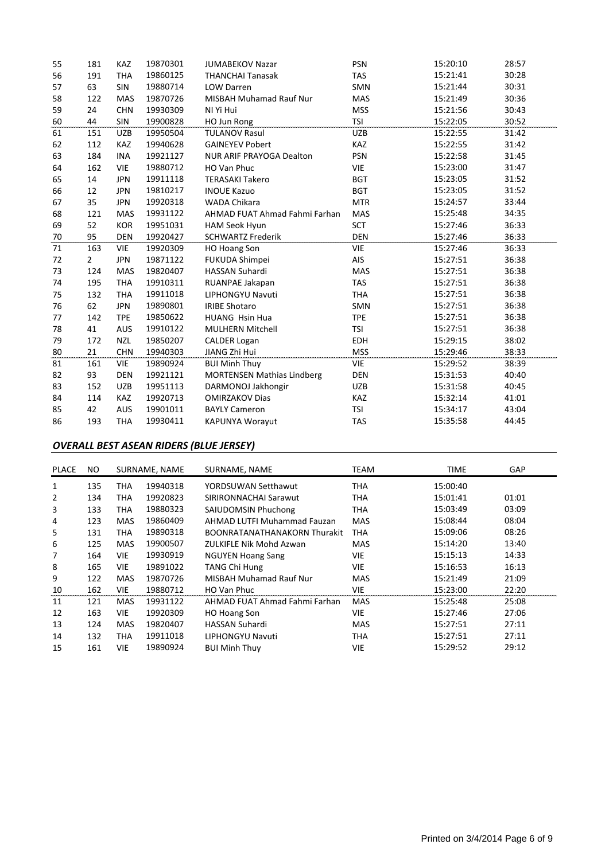| 55 | 181            | <b>KAZ</b> | 19870301 | <b>JUMABEKOV Nazar</b>            | <b>PSN</b> | 15:20:10 | 28:57 |
|----|----------------|------------|----------|-----------------------------------|------------|----------|-------|
| 56 | 191            | <b>THA</b> | 19860125 | <b>THANCHAI Tanasak</b>           | <b>TAS</b> | 15:21:41 | 30:28 |
| 57 | 63             | SIN        | 19880714 | LOW Darren                        | SMN        | 15:21:44 | 30:31 |
| 58 | 122            | MAS        | 19870726 | <b>MISBAH Muhamad Rauf Nur</b>    | MAS        | 15:21:49 | 30:36 |
| 59 | 24             | <b>CHN</b> | 19930309 | NI Yi Hui                         | <b>MSS</b> | 15:21:56 | 30:43 |
| 60 | 44             | SIN        | 19900828 | HO Jun Rong                       | <b>TSI</b> | 15:22:05 | 30:52 |
| 61 | 151            | <b>UZB</b> | 19950504 | <b>TULANOV Rasul</b>              | <b>UZB</b> | 15:22:55 | 31:42 |
| 62 | 112            | <b>KAZ</b> | 19940628 | <b>GAINEYEV Pobert</b>            | <b>KAZ</b> | 15:22:55 | 31:42 |
| 63 | 184            | <b>INA</b> | 19921127 | NUR ARIF PRAYOGA Dealton          | <b>PSN</b> | 15:22:58 | 31:45 |
| 64 | 162            | <b>VIE</b> | 19880712 | HO Van Phuc                       | <b>VIE</b> | 15:23:00 | 31:47 |
| 65 | 14             | <b>JPN</b> | 19911118 | <b>TERASAKI Takero</b>            | <b>BGT</b> | 15:23:05 | 31:52 |
| 66 | 12             | <b>JPN</b> | 19810217 | <b>INOUE Kazuo</b>                | <b>BGT</b> | 15:23:05 | 31:52 |
| 67 | 35             | <b>JPN</b> | 19920318 | <b>WADA Chikara</b>               | <b>MTR</b> | 15:24:57 | 33:44 |
| 68 | 121            | MAS        | 19931122 | AHMAD FUAT Ahmad Fahmi Farhan     | <b>MAS</b> | 15:25:48 | 34:35 |
| 69 | 52             | <b>KOR</b> | 19951031 | <b>HAM Seok Hyun</b>              | <b>SCT</b> | 15:27:46 | 36:33 |
| 70 | 95             | <b>DEN</b> | 19920427 | <b>SCHWARTZ Frederik</b>          | <b>DEN</b> | 15:27:46 | 36:33 |
| 71 | 163            | <b>VIE</b> | 19920309 | <b>HO Hoang Son</b>               | <b>VIE</b> | 15:27:46 | 36:33 |
| 72 | $\overline{2}$ | <b>JPN</b> | 19871122 | FUKUDA Shimpei                    | AIS        | 15:27:51 | 36:38 |
| 73 | 124            | MAS        | 19820407 | HASSAN Suhardi                    | MAS        | 15:27:51 | 36:38 |
| 74 | 195            | <b>THA</b> | 19910311 | RUANPAE Jakapan                   | <b>TAS</b> | 15:27:51 | 36:38 |
| 75 | 132            | <b>THA</b> | 19911018 | <b>LIPHONGYU Navuti</b>           | <b>THA</b> | 15:27:51 | 36:38 |
| 76 | 62             | <b>JPN</b> | 19890801 | <b>IRIBE Shotaro</b>              | <b>SMN</b> | 15:27:51 | 36:38 |
| 77 | 142            | <b>TPE</b> | 19850622 | HUANG Hsin Hua                    | <b>TPE</b> | 15:27:51 | 36:38 |
| 78 | 41             | <b>AUS</b> | 19910122 | <b>MULHERN Mitchell</b>           | <b>TSI</b> | 15:27:51 | 36:38 |
| 79 | 172            | <b>NZL</b> | 19850207 | <b>CALDER Logan</b>               | <b>EDH</b> | 15:29:15 | 38:02 |
| 80 | 21             | <b>CHN</b> | 19940303 | JIANG Zhi Hui                     | <b>MSS</b> | 15:29:46 | 38:33 |
| 81 | 161            | <b>VIE</b> | 19890924 | <b>BUI Minh Thuy</b>              | <b>VIE</b> | 15:29:52 | 38:39 |
| 82 | 93             | <b>DEN</b> | 19921121 | <b>MORTENSEN Mathias Lindberg</b> | <b>DEN</b> | 15:31:53 | 40:40 |
| 83 | 152            | <b>UZB</b> | 19951113 | DARMONOJ Jakhongir                | <b>UZB</b> | 15:31:58 | 40:45 |
| 84 | 114            | <b>KAZ</b> | 19920713 | <b>OMIRZAKOV Dias</b>             | <b>KAZ</b> | 15:32:14 | 41:01 |
| 85 | 42             | <b>AUS</b> | 19901011 | <b>BAYLY Cameron</b>              | <b>TSI</b> | 15:34:17 | 43:04 |
| 86 | 193            | <b>THA</b> | 19930411 | KAPUNYA Worayut                   | <b>TAS</b> | 15:35:58 | 44:45 |

## *OVERALL BEST ASEAN RIDERS (BLUE JERSEY)*

| <b>PLACE</b> | NO. |            | SURNAME, NAME | SURNAME, NAME                       | TEAM       | TIME     | <b>GAP</b> |
|--------------|-----|------------|---------------|-------------------------------------|------------|----------|------------|
| 1            | 135 | THA        | 19940318      | YORDSUWAN Setthawut                 | THA        | 15:00:40 |            |
| 2            | 134 | THA        | 19920823      | SIRIRONNACHAI Sarawut               | THA        | 15:01:41 | 01:01      |
| 3            | 133 | THA        | 19880323      | <b>SAIUDOMSIN Phuchong</b>          | THA        | 15:03:49 | 03:09      |
| 4            | 123 | <b>MAS</b> | 19860409      | AHMAD LUTFI Muhammad Fauzan         | MAS        | 15:08:44 | 08:04      |
| 5            | 131 | THA        | 19890318      | <b>BOONRATANATHANAKORN Thurakit</b> | THA        | 15:09:06 | 08:26      |
| 6            | 125 | <b>MAS</b> | 19900507      | <b>ZULKIFLE Nik Mohd Azwan</b>      | MAS        | 15:14:20 | 13:40      |
| 7            | 164 | <b>VIE</b> | 19930919      | <b>NGUYEN Hoang Sang</b>            | VIE        | 15:15:13 | 14:33      |
| 8            | 165 | <b>VIE</b> | 19891022      | <b>TANG Chi Hung</b>                | VIE        | 15:16:53 | 16:13      |
| 9            | 122 | <b>MAS</b> | 19870726      | <b>MISBAH Muhamad Rauf Nur</b>      | MAS        | 15:21:49 | 21:09      |
| 10           | 162 | <b>VIE</b> | 19880712      | HO Van Phuc                         | VIE        | 15:23:00 | 22:20      |
| 11           | 121 | <b>MAS</b> | 19931122      | AHMAD FUAT Ahmad Fahmi Farhan       | <b>MAS</b> | 15:25:48 | 25:08      |
| 12           | 163 | <b>VIE</b> | 19920309      | HO Hoang Son                        | VIE        | 15:27:46 | 27:06      |
| 13           | 124 | <b>MAS</b> | 19820407      | <b>HASSAN Suhardi</b>               | MAS        | 15:27:51 | 27:11      |
| 14           | 132 | THA        | 19911018      | LIPHONGYU Navuti                    | THA        | 15:27:51 | 27:11      |
| 15           | 161 | <b>VIE</b> | 19890924      | <b>BUI Minh Thuy</b>                | VIE        | 15:29:52 | 29:12      |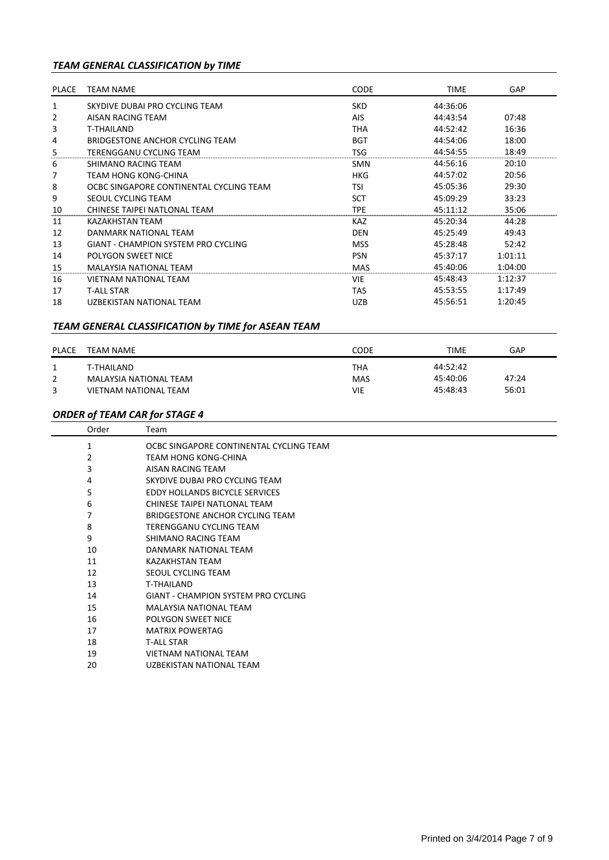# *TEAM GENERAL CLASSIFICATION by TIME*

| PLACE | <b>TEAM NAME</b>                           | <b>CODE</b> | <b>TIME</b> | <b>GAP</b> |
|-------|--------------------------------------------|-------------|-------------|------------|
|       |                                            |             | 44:36:06    |            |
| 1     | SKYDIVE DUBAI PRO CYCLING TEAM             | <b>SKD</b>  |             |            |
| 2     | AISAN RACING TEAM                          | AIS         | 44:43:54    | 07:48      |
| 3     | T-THAILAND                                 | THA         | 44:52:42    | 16:36      |
| 4     | BRIDGESTONE ANCHOR CYCLING TEAM            | <b>BGT</b>  | 44:54:06    | 18:00      |
| 5     | TERENGGANU CYCLING TEAM                    | <b>TSG</b>  | 44:54:55    | 18:49      |
| 6     | SHIMANO RACING TEAM                        | <b>SMN</b>  | 44:56:16    | 20:10      |
| 7     | TEAM HONG KONG-CHINA                       | <b>HKG</b>  | 44:57:02    | 20:56      |
| 8     | OCBC SINGAPORE CONTINENTAL CYCLING TEAM    | TSI         | 45:05:36    | 29:30      |
| 9     | SEOUL CYCLING TEAM                         | <b>SCT</b>  | 45:09:29    | 33:23      |
| 10    | CHINESE TAIPEI NATLONAL TEAM               | <b>TPE</b>  | 45:11:12    | 35:06      |
| 11    | KAZAKHSTAN TEAM                            | <b>KAZ</b>  | 45:20:34    | 44:28      |
| 12    | DANMARK NATIONAL TFAM                      | <b>DEN</b>  | 45:25:49    | 49:43      |
| 13    | <b>GIANT - CHAMPION SYSTEM PRO CYCLING</b> | <b>MSS</b>  | 45:28:48    | 52:42      |
| 14    | POLYGON SWEET NICE                         | <b>PSN</b>  | 45:37:17    | 1:01:11    |
| 15    | <b>MALAYSIA NATIONAL TEAM</b>              | <b>MAS</b>  | 45:40:06    | 1:04:00    |
| 16    | <b>VIETNAM NATIONAL TEAM</b>               | <b>VIE</b>  | 45:48:43    | 1:12:37    |
| 17    | <b>T-ALL STAR</b>                          | TAS         | 45:53:55    | 1:17:49    |
| 18    | UZBEKISTAN NATIONAL TEAM                   | <b>UZB</b>  | 45:56:51    | 1:20:45    |

# *TEAM GENERAL CLASSIFICATION by TIME for ASEAN TEAM*

| <b>PLACE</b>   | TEAM NAME                            | CODE                     | TIME                 | GAP   |
|----------------|--------------------------------------|--------------------------|----------------------|-------|
| $\overline{2}$ | T-THAILAND<br>MALAYSIA NATIONAL TEAM | <b>THA</b><br><b>MAS</b> | 44:52:42<br>45:40:06 | 47:24 |
| 3              | VIETNAM NATIONAL TEAM                | VIE                      | 45:48:43             | 56:01 |

# *ORDER of TEAM CAR for STAGE 4*

| Order | Team                                       |
|-------|--------------------------------------------|
| 1     | OCBC SINGAPORE CONTINENTAL CYCLING TEAM    |
| 2     | <b>TEAM HONG KONG-CHINA</b>                |
| 3     | AISAN RACING TEAM                          |
| 4     | SKYDIVE DUBAI PRO CYCLING TEAM             |
| 5     | EDDY HOLLANDS BICYCLE SERVICES             |
| 6     | CHINESE TAIPEI NATLONAL TEAM               |
| 7     | BRIDGESTONE ANCHOR CYCLING TEAM            |
| 8     | TERENGGANU CYCLING TEAM                    |
| 9     | SHIMANO RACING TEAM                        |
| 10    | DANMARK NATIONAL TEAM                      |
| 11    | <b>KAZAKHSTAN TEAM</b>                     |
| 12    | SEOUL CYCLING TEAM                         |
| 13    | T-THAILAND                                 |
| 14    | <b>GIANT - CHAMPION SYSTEM PRO CYCLING</b> |
| 15    | <b>MALAYSIA NATIONAL TEAM</b>              |
| 16    | <b>POLYGON SWEET NICE</b>                  |
| 17    | <b>MATRIX POWERTAG</b>                     |
| 18    | <b>T-ALL STAR</b>                          |
| 19    | <b>VIETNAM NATIONAL TEAM</b>               |
| 20    | UZBEKISTAN NATIONAL TEAM                   |
|       |                                            |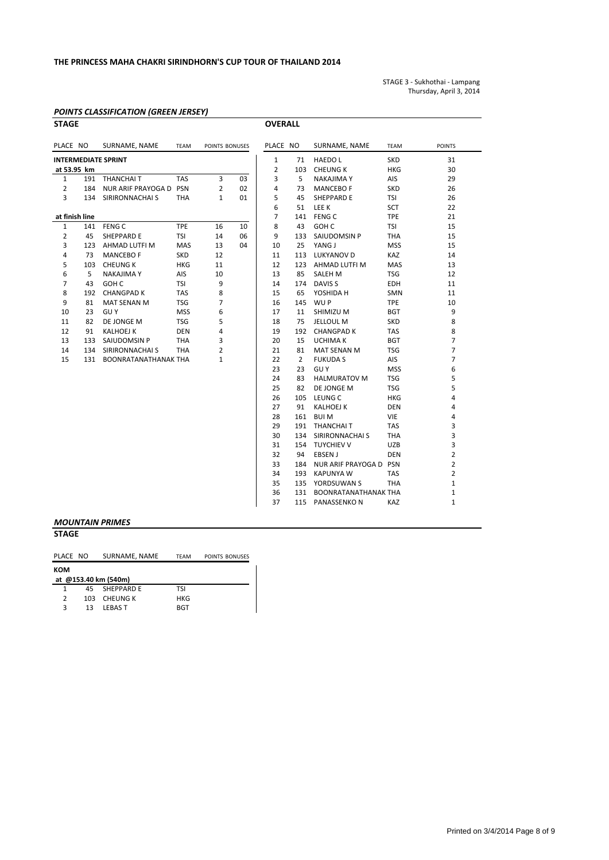STAGE 3 ‐ Sukhothai ‐ Lampang Thursday, April 3, 2014

## *POINTS CLASSIFICATION (GREEN JERSEY)*

| <b>STAGE</b>               |     |                             |             |                |            | <b>OVERALL</b> |                |                             |             |                |
|----------------------------|-----|-----------------------------|-------------|----------------|------------|----------------|----------------|-----------------------------|-------------|----------------|
| PLACE NO                   |     | SURNAME, NAME               | <b>TEAM</b> | POINTS BONUSES |            | PLACE NO       |                | SURNAME, NAME               | <b>TEAM</b> | <b>POINTS</b>  |
| <b>INTERMEDIATE SPRINT</b> |     |                             |             | $\mathbf{1}$   | 71         | <b>HAEDOL</b>  | <b>SKD</b>     | 31                          |             |                |
| at 53.95 km                |     |                             |             |                |            | $\overline{2}$ | 103            | <b>CHEUNG K</b>             | <b>HKG</b>  | 30             |
| $\mathbf{1}$               | 191 | THANCHAI T                  | <b>TAS</b>  | 3              | 03         | 3              | 5              | NAKAJIMA Y                  | AIS         | 29             |
| $\overline{2}$             | 184 | NUR ARIF PRAYOGA D PSN      |             | $\overline{2}$ | 02         | 4              | 73             | <b>MANCEBOF</b>             | <b>SKD</b>  | 26             |
| 3                          | 134 | SIRIRONNACHAI S             | <b>THA</b>  | $\mathbf{1}$   | 01         | 5              | 45             | <b>SHEPPARD E</b>           | <b>TSI</b>  | 26             |
|                            |     |                             |             |                |            | 6              | 51             | LEE K                       | SCT         | 22             |
| at finish line             |     | $\overline{7}$              | 141         | <b>FENG C</b>  | <b>TPE</b> | 21             |                |                             |             |                |
| $\mathbf{1}$               | 141 | <b>FENG C</b>               | <b>TPE</b>  | 16             | 10         | 8              | 43             | GOH C                       | <b>TSI</b>  | 15             |
| 2                          | 45  | <b>SHEPPARD E</b>           | <b>TSI</b>  | 14             | 06         | 9              | 133            | SAIUDOMSIN P                | THA         | 15             |
| 3                          | 123 | AHMAD LUTFI M               | MAS         | 13             | 04         | 10             | 25             | YANG J                      | <b>MSS</b>  | 15             |
| 4                          | 73  | <b>MANCEBO F</b>            | <b>SKD</b>  | 12             |            | 11             | 113            | LUKYANOV D                  | KAZ         | 14             |
| 5                          | 103 | <b>CHEUNG K</b>             | <b>HKG</b>  | 11             |            | 12             | 123            | AHMAD LUTFI M               | MAS         | 13             |
| 6                          | 5   | <b>NAKAJIMA Y</b>           | AIS         | 10             |            | 13             | 85             | SALEH M                     | <b>TSG</b>  | 12             |
| 7                          | 43  | GOH C                       | <b>TSI</b>  | 9              |            | 14             | 174            | DAVIS <sub>S</sub>          | <b>EDH</b>  | 11             |
| 8                          | 192 | <b>CHANGPAD K</b>           | TAS         | 8              |            | 15             | 65             | YOSHIDA H                   | SMN         | 11             |
| 9                          | 81  | <b>MAT SENAN M</b>          | <b>TSG</b>  | $\overline{7}$ |            | 16             | 145            | WU P                        | <b>TPE</b>  | 10             |
| 10                         | 23  | <b>GUY</b>                  | <b>MSS</b>  | 6              |            | 17             | 11             | SHIMIZU M                   | <b>BGT</b>  | 9              |
| 11                         | 82  | DE JONGE M                  | <b>TSG</b>  | 5              |            | 18             | 75             | <b>JELLOUL M</b>            | <b>SKD</b>  | 8              |
| 12                         | 91  | <b>KALHOEJ K</b>            | <b>DEN</b>  | 4              |            | 19             | 192            | <b>CHANGPAD K</b>           | <b>TAS</b>  | 8              |
| 13                         | 133 | SAIUDOMSIN P                | THA         | 3              |            | 20             | 15             | <b>UCHIMA K</b>             | <b>BGT</b>  | 7              |
| 14                         | 134 | SIRIRONNACHAI S             | <b>THA</b>  | 2              |            | 21             | 81             | <b>MAT SENAN M</b>          | <b>TSG</b>  | 7              |
| 15                         | 131 | <b>BOONRATANATHANAK THA</b> |             | $\mathbf{1}$   |            | 22             | $\overline{2}$ | <b>FUKUDA S</b>             | AIS         | 7              |
|                            |     |                             |             |                |            | 23             | 23             | <b>GUY</b>                  | <b>MSS</b>  | 6              |
|                            |     |                             |             |                |            | 24             | 83             | <b>HALMURATOV M</b>         | <b>TSG</b>  | 5              |
|                            |     |                             |             |                |            | 25             | 82             | DE JONGE M                  | <b>TSG</b>  | 5              |
|                            |     |                             |             |                |            | 26             | 105            | LEUNG C                     | <b>HKG</b>  | 4              |
|                            |     |                             |             |                |            | 27             | 91             | <b>KALHOEJ K</b>            | DEN         | 4              |
|                            |     |                             |             |                |            | 28             | 161            | <b>BUIM</b>                 | VIE         | 4              |
|                            |     |                             |             |                |            | 29             | 191            | <b>THANCHAIT</b>            | <b>TAS</b>  | 3              |
|                            |     |                             |             |                |            | 30             | 134            | SIRIRONNACHAI S             | <b>THA</b>  | 3              |
|                            |     |                             |             |                |            | 31             | 154            | <b>TUYCHIEV V</b>           | <b>UZB</b>  | 3              |
|                            |     |                             |             |                |            | 32             | 94             | <b>EBSEN J</b>              | <b>DEN</b>  | 2              |
|                            |     |                             |             |                |            | 33             | 184            | NUR ARIF PRAYOGA D          | <b>PSN</b>  | $\overline{2}$ |
|                            |     |                             |             |                |            | 34             | 193            | <b>KAPUNYA W</b>            | <b>TAS</b>  | 2              |
|                            |     |                             |             |                |            | 35             | 135            | YORDSUWAN S                 | <b>THA</b>  | $\mathbf{1}$   |
|                            |     |                             |             |                |            | 36             | 131            | <b>BOONRATANATHANAK THA</b> |             | $\mathbf{1}$   |
|                            |     |                             |             |                |            | 37             | 115            | PANASSENKO N                | KAZ         | 1              |

#### *MOUNTAIN PRIMES*

**STAGE**

| SURNAME, NAME<br>PLACE NO | TFAM | POINTS BONUSES |
|---------------------------|------|----------------|
|---------------------------|------|----------------|

## **KOM**

| at @153.40 km (540m) |  |               |            |  |  |  |
|----------------------|--|---------------|------------|--|--|--|
|                      |  | 45 SHEPPARD E | TSI        |  |  |  |
|                      |  | 103 CHEUNG K  | HKG        |  |  |  |
| ₹                    |  | 13 IFRAST     | <b>BGT</b> |  |  |  |